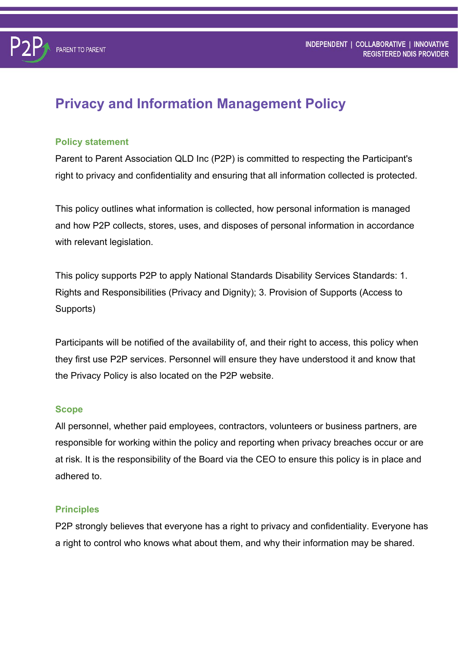# **Privacy and Information Management Policy**

#### **Policy statement**

**PARENT TO PARENT** 

Parent to Parent Association QLD Inc (P2P) is committed to respecting the Participant's right to privacy and confidentiality and ensuring that all information collected is protected.

This policy outlines what information is collected, how personal information is managed and how P2P collects, stores, uses, and disposes of personal information in accordance with relevant legislation.

This policy supports P2P to apply National Standards Disability Services Standards: 1. Rights and Responsibilities (Privacy and Dignity); 3. Provision of Supports (Access to Supports)

Participants will be notified of the availability of, and their right to access, this policy when they first use P2P services. Personnel will ensure they have understood it and know that the Privacy Policy is also located on the P2P website.

#### **Scope**

All personnel, whether paid employees, contractors, volunteers or business partners, are responsible for working within the policy and reporting when privacy breaches occur or are at risk. It is the responsibility of the Board via the CEO to ensure this policy is in place and adhered to.

#### **Principles**

P2P strongly believes that everyone has a right to privacy and confidentiality. Everyone has a right to control who knows what about them, and why their information may be shared.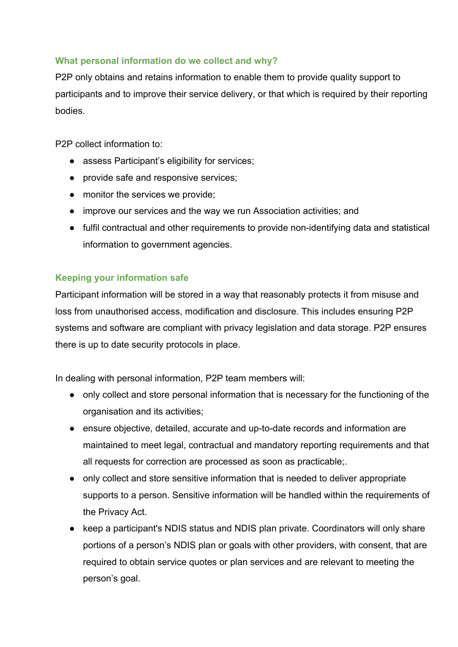## **What personal information do we collect and why?**

P2P only obtains and retains information to enable them to provide quality support to participants and to improve their service delivery, or that which is required by their reporting bodies.

P2P collect information to:

- assess Participant's eligibility for services;
- provide safe and responsive services;
- monitor the services we provide;
- improve our services and the way we run Association activities; and
- fulfil contractual and other requirements to provide non-identifying data and statistical information to government agencies.

#### **Keeping your information safe**

Participant information will be stored in a way that reasonably protects it from misuse and loss from unauthorised access, modification and disclosure. This includes ensuring P2P systems and software are compliant with privacy legislation and data storage. P2P ensures there is up to date security protocols in place.

In dealing with personal information, P2P team members will:

- only collect and store personal information that is necessary for the functioning of the organisation and its activities;
- ensure objective, detailed, accurate and up-to-date records and information are maintained to meet legal, contractual and mandatory reporting requirements and that all requests for correction are processed as soon as practicable;.
- only collect and store sensitive information that is needed to deliver appropriate supports to a person. Sensitive information will be handled within the requirements of the Privacy Act.
- keep a participant's NDIS status and NDIS plan private. Coordinators will only share portions of a person's NDIS plan or goals with other providers, with consent, that are required to obtain service quotes or plan services and are relevant to meeting the person's goal.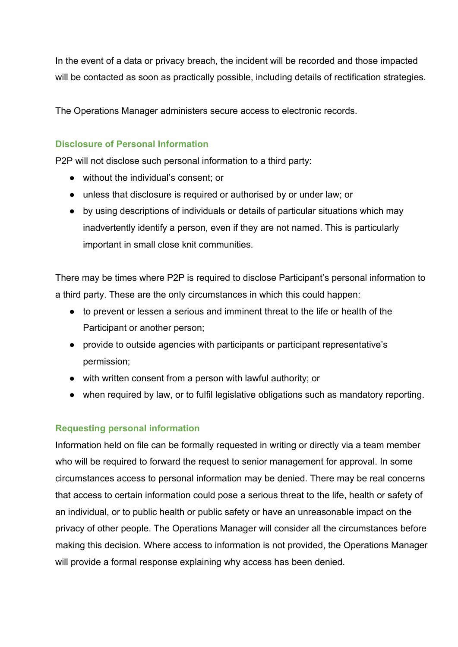In the event of a data or privacy breach, the incident will be recorded and those impacted will be contacted as soon as practically possible, including details of rectification strategies.

The Operations Manager administers secure access to electronic records.

# **Disclosure of Personal Information**

P2P will not disclose such personal information to a third party:

- without the individual's consent; or
- unless that disclosure is required or authorised by or under law; or
- by using descriptions of individuals or details of particular situations which may inadvertently identify a person, even if they are not named. This is particularly important in small close knit communities.

There may be times where P2P is required to disclose Participant's personal information to a third party. These are the only circumstances in which this could happen:

- to prevent or lessen a serious and imminent threat to the life or health of the Participant or another person;
- provide to outside agencies with participants or participant representative's permission;
- with written consent from a person with lawful authority; or
- when required by law, or to fulfil legislative obligations such as mandatory reporting.

# **Requesting personal information**

Information held on file can be formally requested in writing or directly via a team member who will be required to forward the request to senior management for approval. In some circumstances access to personal information may be denied. There may be real concerns that access to certain information could pose a serious threat to the life, health or safety of an individual, or to public health or public safety or have an unreasonable impact on the privacy of other people. The Operations Manager will consider all the circumstances before making this decision. Where access to information is not provided, the Operations Manager will provide a formal response explaining why access has been denied.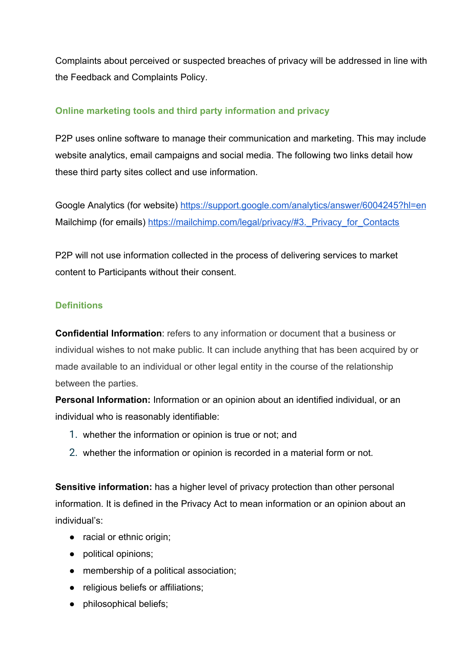Complaints about perceived or suspected breaches of privacy will be addressed in line with the Feedback and Complaints Policy.

# **Online marketing tools and third party information and privacy**

P2P uses online software to manage their communication and marketing. This may include website analytics, email campaigns and social media. The following two links detail how these third party sites collect and use information.

Google Analytics (for website) <https://support.google.com/analytics/answer/6004245?hl=en> Mailchimp (for emails) https://mailchimp.com/legal/privacy/#3. Privacy\_for\_Contacts

P2P will not use information collected in the process of delivering services to market content to Participants without their consent.

## **Definitions**

**Confidential Information**: refers to any information or document that a business or individual wishes to not make public. It can include anything that has been acquired by or made available to an individual or other legal entity in the course of the relationship between the parties.

**Personal Information:** Information or an opinion about an identified individual, or an individual who is reasonably identifiable:

- 1. whether the information or opinion is true or not; and
- 2. whether the information or opinion is recorded in a material form or not.

**Sensitive information:** has a higher level of privacy protection than other personal information. It is defined in the Privacy Act to mean information or an opinion about an individual's:

- racial or ethnic origin;
- political opinions;
- membership of a political association;
- religious beliefs or affiliations;
- philosophical beliefs;